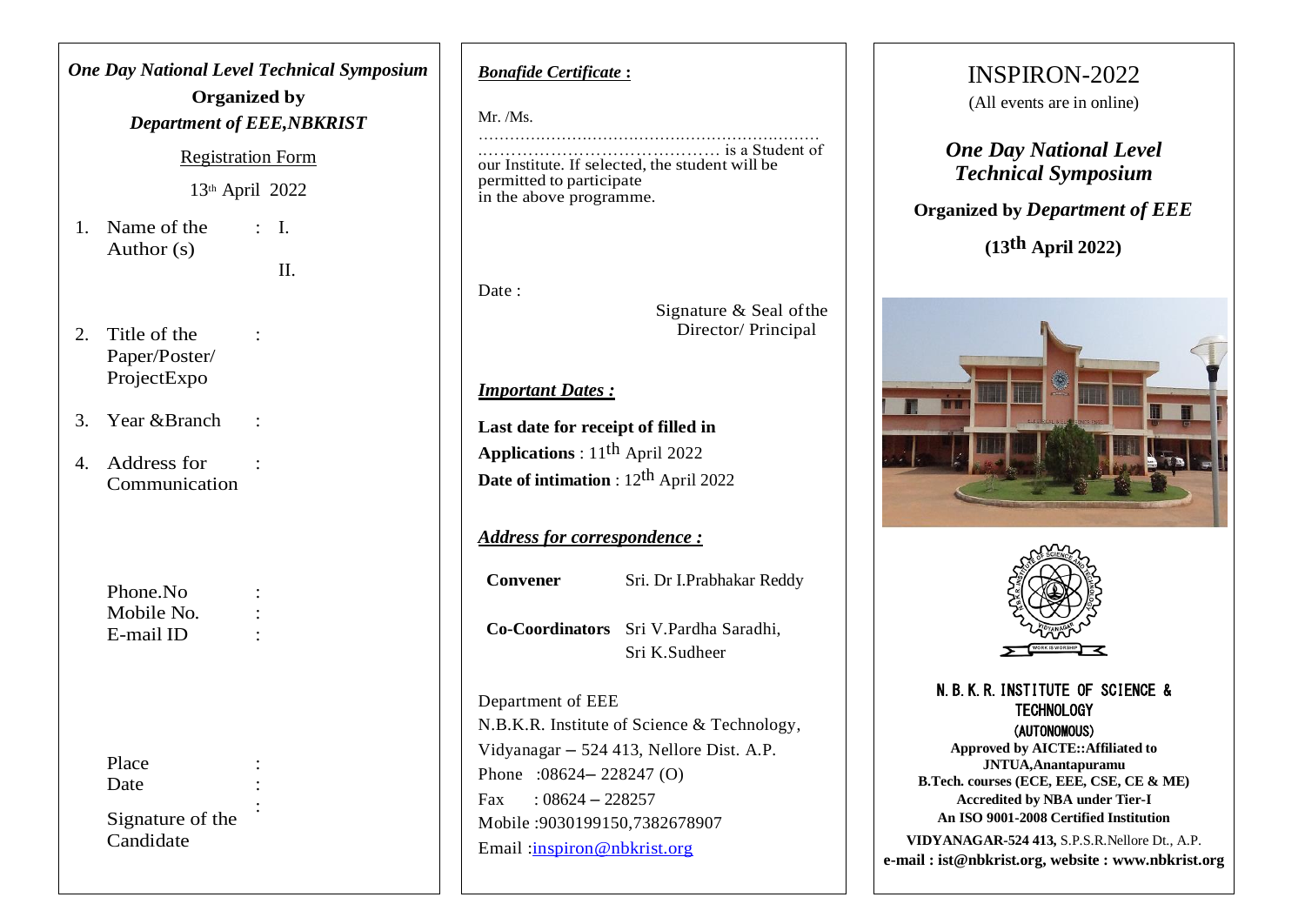# *One Day National Level Technical Symposium* **Organized by** *Department of EEE,NBKRIST* Registration Form 13 th April 2022 1. Name of the Author (s)  $\cdot$  I. II. 2. Title of the Paper/Poster/ ProjectExpo : 3. Year &Branch : 4. Address for Communication : Phone.No : Mobile No. : E-mail ID : Place. Date Signature of the Candidate :

*Bonafide Certificate* **:**

Mr. /Ms.

………………………………………………………… .…………………………………… is a Student of our Institute. If selected, the student will be permitted to participate in the above programme.

Date ·

Signature & Seal ofthe Director/ Principal

### *Important Dates :*

**Last date for receipt of filled in Applications** : 11 th April 2022 **Date of intimation** : 12 th April 2022

## *Address for correspondence :*

**Convener** Sri. Dr I.Prabhakar Reddy **Co-Coordinators** Sri V.Pardha Saradhi,

Sri K.Sudheer

Department of EEE N.B.K.R. Institute of Science & Technology, Vidyanagar – 524 413, Nellore Dist. A.P. Phone :08624– 228247 (O) Fax :  $08624 - 228257$ Mobile :9030199150,7382678907 Email [:inspiron@nbkrist.org](mailto:inspiron@nbkrist.org)

# INSPIRON-2022

(All events are in online)

*One Day National Level Technical Symposium*

**Organized by** *Department of EEE*

**(13th April 2022)**





#### N.B.K.R.INSTITUTE OF SCIENCE & **TECHNOLOGY** (AUTONOMOUS)

**Approved by AICTE::Affiliated to JNTUA,Anantapuramu B.Tech. courses (ECE, EEE, CSE, CE & ME) Accredited by NBA under Tier-I An ISO 9001-2008 Certified Institution**

**VIDYANAGAR-524 413,** S.P.S.R.Nellore Dt., A.P. **e-mail : ist@nbkrist.org, website : www.nbkrist.org**